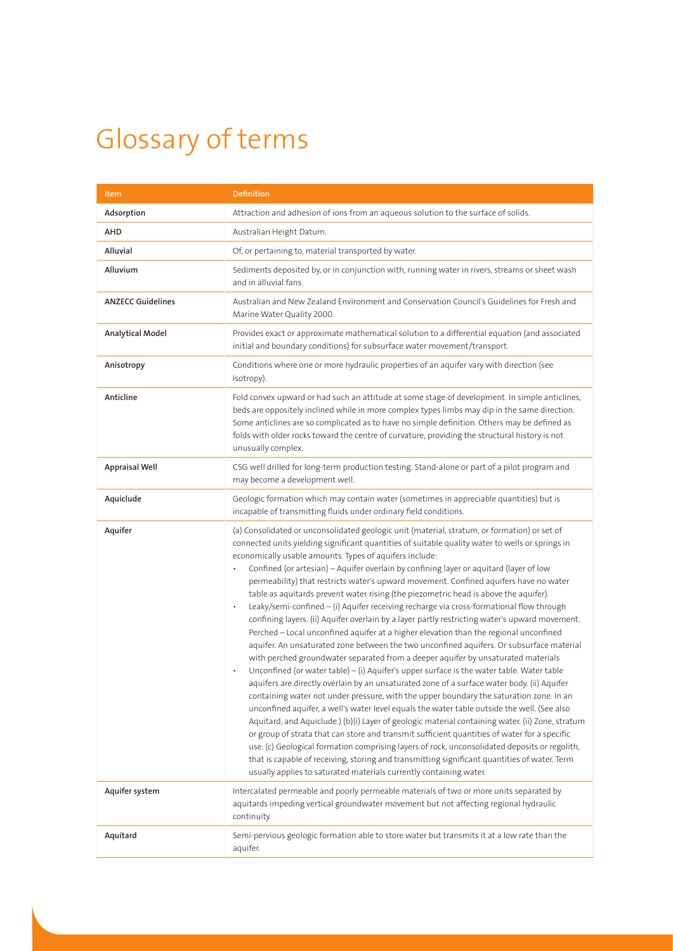## Glossary of terms

| Item                     | <b>Definition</b>                                                                                                                                                                                                                                                                                                                                                                                                                                                                                                                                                                                                                                                                                                                                                                                                                                                                                                                                                                                                                                                                                                                                                                                                                                                                                                                                                                                                                                                                                                                                                                                                                                                                                                                                                                                                                                                                           |
|--------------------------|---------------------------------------------------------------------------------------------------------------------------------------------------------------------------------------------------------------------------------------------------------------------------------------------------------------------------------------------------------------------------------------------------------------------------------------------------------------------------------------------------------------------------------------------------------------------------------------------------------------------------------------------------------------------------------------------------------------------------------------------------------------------------------------------------------------------------------------------------------------------------------------------------------------------------------------------------------------------------------------------------------------------------------------------------------------------------------------------------------------------------------------------------------------------------------------------------------------------------------------------------------------------------------------------------------------------------------------------------------------------------------------------------------------------------------------------------------------------------------------------------------------------------------------------------------------------------------------------------------------------------------------------------------------------------------------------------------------------------------------------------------------------------------------------------------------------------------------------------------------------------------------------|
| Adsorption               | Attraction and adhesion of ions from an aqueous solution to the surface of solids.                                                                                                                                                                                                                                                                                                                                                                                                                                                                                                                                                                                                                                                                                                                                                                                                                                                                                                                                                                                                                                                                                                                                                                                                                                                                                                                                                                                                                                                                                                                                                                                                                                                                                                                                                                                                          |
| AHD                      | Australian Height Datum.                                                                                                                                                                                                                                                                                                                                                                                                                                                                                                                                                                                                                                                                                                                                                                                                                                                                                                                                                                                                                                                                                                                                                                                                                                                                                                                                                                                                                                                                                                                                                                                                                                                                                                                                                                                                                                                                    |
| Alluvial                 | Of, or pertaining to, material transported by water.                                                                                                                                                                                                                                                                                                                                                                                                                                                                                                                                                                                                                                                                                                                                                                                                                                                                                                                                                                                                                                                                                                                                                                                                                                                                                                                                                                                                                                                                                                                                                                                                                                                                                                                                                                                                                                        |
| Alluvium                 | Sediments deposited by, or in conjunction with, running water in rivers, streams or sheet wash<br>and in alluvial fans.                                                                                                                                                                                                                                                                                                                                                                                                                                                                                                                                                                                                                                                                                                                                                                                                                                                                                                                                                                                                                                                                                                                                                                                                                                                                                                                                                                                                                                                                                                                                                                                                                                                                                                                                                                     |
| <b>ANZECC Guidelines</b> | Australian and New Zealand Environment and Conservation Council's Guidelines for Fresh and<br>Marine Water Quality 2000.                                                                                                                                                                                                                                                                                                                                                                                                                                                                                                                                                                                                                                                                                                                                                                                                                                                                                                                                                                                                                                                                                                                                                                                                                                                                                                                                                                                                                                                                                                                                                                                                                                                                                                                                                                    |
| Analytical Model         | Provides exact or approximate mathematical solution to a differential equation (and associated<br>initial and boundary conditions) for subsurface water movement/transport.                                                                                                                                                                                                                                                                                                                                                                                                                                                                                                                                                                                                                                                                                                                                                                                                                                                                                                                                                                                                                                                                                                                                                                                                                                                                                                                                                                                                                                                                                                                                                                                                                                                                                                                 |
| Anisotropy               | Conditions where one or more hydraulic properties of an aquifer vary with direction (see<br>Isotropy).                                                                                                                                                                                                                                                                                                                                                                                                                                                                                                                                                                                                                                                                                                                                                                                                                                                                                                                                                                                                                                                                                                                                                                                                                                                                                                                                                                                                                                                                                                                                                                                                                                                                                                                                                                                      |
| Anticline                | Fold convex upward or had such an attitude at some stage of development. In simple anticlines,<br>beds are oppositely inclined while in more complex types limbs may dip in the same direction.<br>Some anticlines are so complicated as to have no simple definition. Others may be defined as<br>folds with older rocks toward the centre of curvature, providing the structural history is not<br>unusually complex.                                                                                                                                                                                                                                                                                                                                                                                                                                                                                                                                                                                                                                                                                                                                                                                                                                                                                                                                                                                                                                                                                                                                                                                                                                                                                                                                                                                                                                                                     |
| <b>Appraisal Well</b>    | CSG well drilled for long-term production testing. Stand-alone or part of a pilot program and<br>may become a development well.                                                                                                                                                                                                                                                                                                                                                                                                                                                                                                                                                                                                                                                                                                                                                                                                                                                                                                                                                                                                                                                                                                                                                                                                                                                                                                                                                                                                                                                                                                                                                                                                                                                                                                                                                             |
| Aquiclude                | Geologic formation which may contain water (sometimes in appreciable quantities) but is<br>incapable of transmitting fluids under ordinary field conditions.                                                                                                                                                                                                                                                                                                                                                                                                                                                                                                                                                                                                                                                                                                                                                                                                                                                                                                                                                                                                                                                                                                                                                                                                                                                                                                                                                                                                                                                                                                                                                                                                                                                                                                                                |
| Aquifer                  | (a) Consolidated or unconsolidated geologic unit (material, stratum, or formation) or set of<br>connected units yielding significant quantities of suitable quality water to wells or springs in<br>economically usable amounts. Types of aquifers include:<br>Confined (or artesian) - Aquifer overlain by confining layer or aquitard (layer of low<br>permeability) that restricts water's upward movement. Confined aquifers have no water<br>table as aquitards prevent water rising (the piezometric head is above the aquifer).<br>Leaky/semi-confined - (i) Aquifer receiving recharge via cross-formational flow through<br>$\bullet$<br>confining layers. (ii) Aquifer overlain by a layer partly restricting water's upward movement.<br>Perched - Local unconfined aquifer at a higher elevation than the regional unconfined<br>aquifer. An unsaturated zone between the two unconfined aquifers. Or subsurface material<br>with perched groundwater separated from a deeper aquifer by unsaturated materials<br>Unconfined (or water table) - (i) Aquifer's upper surface is the water table. Water table<br>aquifers are directly overlain by an unsaturated zone of a surface water body. (ii) Aquifer<br>containing water not under pressure, with the upper boundary the saturation zone. In an<br>unconfined aquifer, a well's water level equals the water table outside the well. (See also<br>Aquitard, and Aquiclude.) (b)(i) Layer of geologic material containing water. (ii) Zone, stratum<br>or group of strata that can store and transmit sufficient quantities of water for a specific<br>use. (c) Geological formation comprising layers of rock, unconsolidated deposits or regolith,<br>that is capable of receiving, storing and transmitting significant quantities of water. Term<br>usually applies to saturated materials currently containing water. |
| Aquifer system           | Intercalated permeable and poorly permeable materials of two or more units separated by<br>aquitards impeding vertical groundwater movement but not affecting regional hydraulic<br>continuity.                                                                                                                                                                                                                                                                                                                                                                                                                                                                                                                                                                                                                                                                                                                                                                                                                                                                                                                                                                                                                                                                                                                                                                                                                                                                                                                                                                                                                                                                                                                                                                                                                                                                                             |
| Aquitard                 | Semi-pervious geologic formation able to store water but transmits it at a low rate than the<br>aquifer.                                                                                                                                                                                                                                                                                                                                                                                                                                                                                                                                                                                                                                                                                                                                                                                                                                                                                                                                                                                                                                                                                                                                                                                                                                                                                                                                                                                                                                                                                                                                                                                                                                                                                                                                                                                    |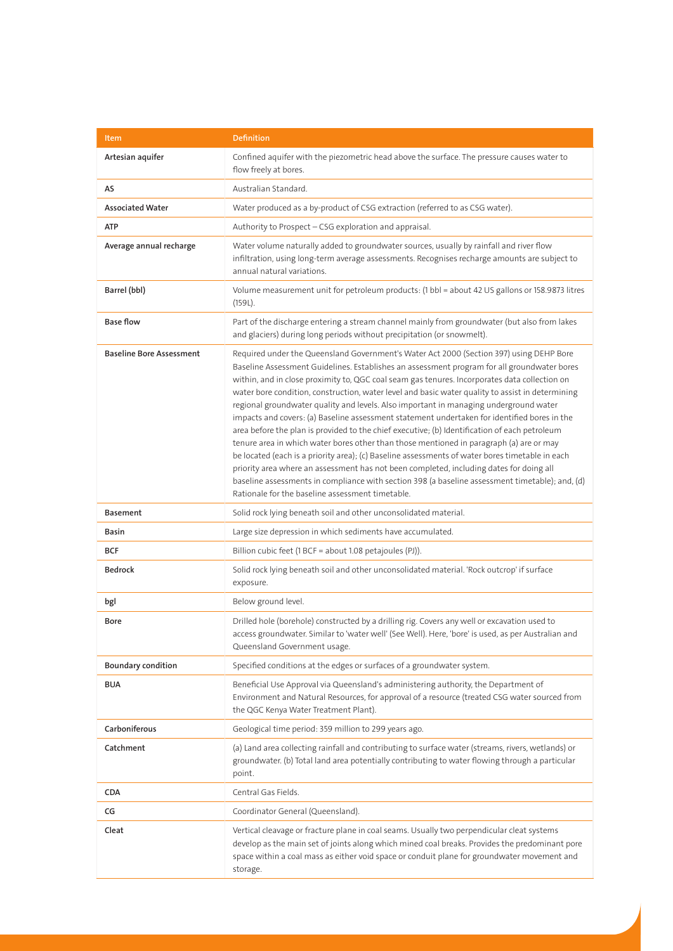| <b>Item</b>                     | <b>Definition</b>                                                                                                                                                                                                                                                                                                                                                                                                                                                                                                                                                                                                                                                                                                                                                                                                                                                                                                                                                                                                                                                                                                                     |
|---------------------------------|---------------------------------------------------------------------------------------------------------------------------------------------------------------------------------------------------------------------------------------------------------------------------------------------------------------------------------------------------------------------------------------------------------------------------------------------------------------------------------------------------------------------------------------------------------------------------------------------------------------------------------------------------------------------------------------------------------------------------------------------------------------------------------------------------------------------------------------------------------------------------------------------------------------------------------------------------------------------------------------------------------------------------------------------------------------------------------------------------------------------------------------|
| Artesian aquifer                | Confined aquifer with the piezometric head above the surface. The pressure causes water to<br>flow freely at bores.                                                                                                                                                                                                                                                                                                                                                                                                                                                                                                                                                                                                                                                                                                                                                                                                                                                                                                                                                                                                                   |
| AS                              | Australian Standard.                                                                                                                                                                                                                                                                                                                                                                                                                                                                                                                                                                                                                                                                                                                                                                                                                                                                                                                                                                                                                                                                                                                  |
| <b>Associated Water</b>         | Water produced as a by-product of CSG extraction (referred to as CSG water).                                                                                                                                                                                                                                                                                                                                                                                                                                                                                                                                                                                                                                                                                                                                                                                                                                                                                                                                                                                                                                                          |
| <b>ATP</b>                      | Authority to Prospect - CSG exploration and appraisal.                                                                                                                                                                                                                                                                                                                                                                                                                                                                                                                                                                                                                                                                                                                                                                                                                                                                                                                                                                                                                                                                                |
| Average annual recharge         | Water volume naturally added to groundwater sources, usually by rainfall and river flow<br>infiltration, using long-term average assessments. Recognises recharge amounts are subject to<br>annual natural variations.                                                                                                                                                                                                                                                                                                                                                                                                                                                                                                                                                                                                                                                                                                                                                                                                                                                                                                                |
| Barrel (bbl)                    | Volume measurement unit for petroleum products: (1 bbl = about 42 US gallons or 158.9873 litres<br>(159L).                                                                                                                                                                                                                                                                                                                                                                                                                                                                                                                                                                                                                                                                                                                                                                                                                                                                                                                                                                                                                            |
| <b>Base flow</b>                | Part of the discharge entering a stream channel mainly from groundwater (but also from lakes<br>and glaciers) during long periods without precipitation (or snowmelt).                                                                                                                                                                                                                                                                                                                                                                                                                                                                                                                                                                                                                                                                                                                                                                                                                                                                                                                                                                |
| <b>Baseline Bore Assessment</b> | Required under the Queensland Government's Water Act 2000 (Section 397) using DEHP Bore<br>Baseline Assessment Guidelines. Establishes an assessment program for all groundwater bores<br>within, and in close proximity to, QGC coal seam gas tenures. Incorporates data collection on<br>water bore condition, construction, water level and basic water quality to assist in determining<br>regional groundwater quality and levels. Also important in managing underground water<br>impacts and covers: (a) Baseline assessment statement undertaken for identified bores in the<br>area before the plan is provided to the chief executive; (b) Identification of each petroleum<br>tenure area in which water bores other than those mentioned in paragraph (a) are or may<br>be located (each is a priority area); (c) Baseline assessments of water bores timetable in each<br>priority area where an assessment has not been completed, including dates for doing all<br>baseline assessments in compliance with section 398 (a baseline assessment timetable); and, (d)<br>Rationale for the baseline assessment timetable. |
| <b>Basement</b>                 | Solid rock lying beneath soil and other unconsolidated material.                                                                                                                                                                                                                                                                                                                                                                                                                                                                                                                                                                                                                                                                                                                                                                                                                                                                                                                                                                                                                                                                      |
| Basin                           | Large size depression in which sediments have accumulated.                                                                                                                                                                                                                                                                                                                                                                                                                                                                                                                                                                                                                                                                                                                                                                                                                                                                                                                                                                                                                                                                            |
| BCF                             | Billion cubic feet (1 BCF = about 1.08 petajoules (PJ)).                                                                                                                                                                                                                                                                                                                                                                                                                                                                                                                                                                                                                                                                                                                                                                                                                                                                                                                                                                                                                                                                              |
| <b>Bedrock</b>                  | Solid rock lying beneath soil and other unconsolidated material. 'Rock outcrop' if surface<br>exposure.                                                                                                                                                                                                                                                                                                                                                                                                                                                                                                                                                                                                                                                                                                                                                                                                                                                                                                                                                                                                                               |
| bgl                             | Below ground level.                                                                                                                                                                                                                                                                                                                                                                                                                                                                                                                                                                                                                                                                                                                                                                                                                                                                                                                                                                                                                                                                                                                   |
| Bore                            | Drilled hole (borehole) constructed by a drilling rig. Covers any well or excavation used to<br>access groundwater. Similar to 'water well' (See Well). Here, 'bore' is used, as per Australian and<br>Queensland Government usage.                                                                                                                                                                                                                                                                                                                                                                                                                                                                                                                                                                                                                                                                                                                                                                                                                                                                                                   |
| <b>Boundary condition</b>       | Specified conditions at the edges or surfaces of a groundwater system.                                                                                                                                                                                                                                                                                                                                                                                                                                                                                                                                                                                                                                                                                                                                                                                                                                                                                                                                                                                                                                                                |
| <b>BUA</b>                      | Beneficial Use Approval via Queensland's administering authority, the Department of<br>Environment and Natural Resources, for approval of a resource (treated CSG water sourced from<br>the QGC Kenya Water Treatment Plant).                                                                                                                                                                                                                                                                                                                                                                                                                                                                                                                                                                                                                                                                                                                                                                                                                                                                                                         |
| Carboniferous                   | Geological time period: 359 million to 299 years ago.                                                                                                                                                                                                                                                                                                                                                                                                                                                                                                                                                                                                                                                                                                                                                                                                                                                                                                                                                                                                                                                                                 |
| Catchment                       | (a) Land area collecting rainfall and contributing to surface water (streams, rivers, wetlands) or<br>groundwater. (b) Total land area potentially contributing to water flowing through a particular<br>point.                                                                                                                                                                                                                                                                                                                                                                                                                                                                                                                                                                                                                                                                                                                                                                                                                                                                                                                       |
| <b>CDA</b>                      | Central Gas Fields.                                                                                                                                                                                                                                                                                                                                                                                                                                                                                                                                                                                                                                                                                                                                                                                                                                                                                                                                                                                                                                                                                                                   |
| CG                              | Coordinator General (Queensland).                                                                                                                                                                                                                                                                                                                                                                                                                                                                                                                                                                                                                                                                                                                                                                                                                                                                                                                                                                                                                                                                                                     |
| Cleat                           | Vertical cleavage or fracture plane in coal seams. Usually two perpendicular cleat systems<br>develop as the main set of joints along which mined coal breaks. Provides the predominant pore<br>space within a coal mass as either void space or conduit plane for groundwater movement and<br>storage.                                                                                                                                                                                                                                                                                                                                                                                                                                                                                                                                                                                                                                                                                                                                                                                                                               |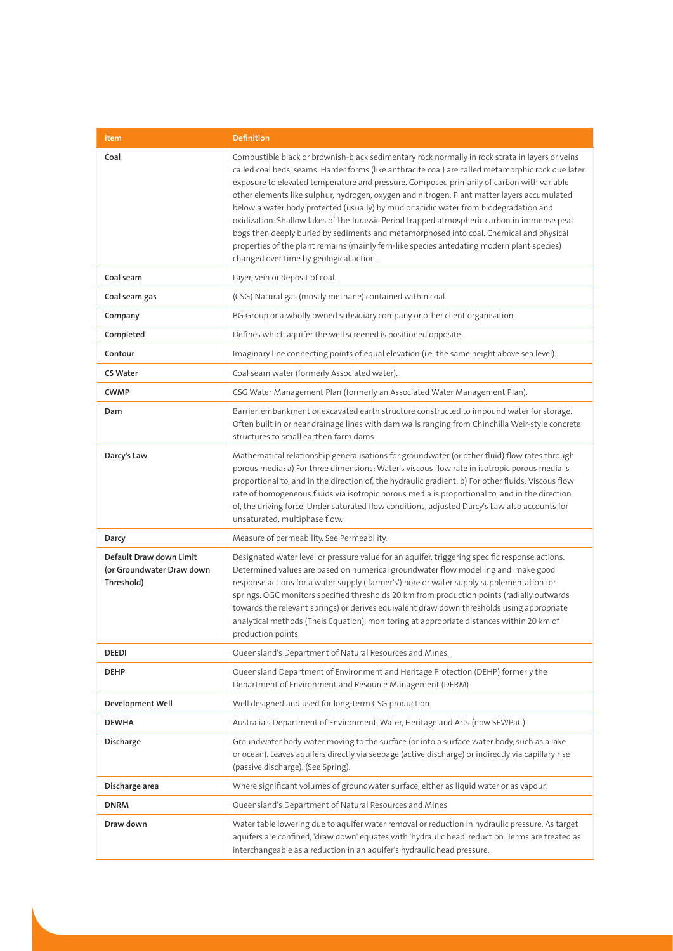| Item                                                               | <b>Definition</b>                                                                                                                                                                                                                                                                                                                                                                                                                                                                                                                                                                                                                                                                                                                                                                                                              |
|--------------------------------------------------------------------|--------------------------------------------------------------------------------------------------------------------------------------------------------------------------------------------------------------------------------------------------------------------------------------------------------------------------------------------------------------------------------------------------------------------------------------------------------------------------------------------------------------------------------------------------------------------------------------------------------------------------------------------------------------------------------------------------------------------------------------------------------------------------------------------------------------------------------|
| Coal                                                               | Combustible black or brownish-black sedimentary rock normally in rock strata in layers or veins<br>called coal beds, seams. Harder forms (like anthracite coal) are called metamorphic rock due later<br>exposure to elevated temperature and pressure. Composed primarily of carbon with variable<br>other elements like sulphur, hydrogen, oxygen and nitrogen. Plant matter layers accumulated<br>below a water body protected (usually) by mud or acidic water from biodegradation and<br>oxidization. Shallow lakes of the Jurassic Period trapped atmospheric carbon in immense peat<br>bogs then deeply buried by sediments and metamorphosed into coal. Chemical and physical<br>properties of the plant remains (mainly fern-like species antedating modern plant species)<br>changed over time by geological action. |
| Coal seam                                                          | Layer, vein or deposit of coal.                                                                                                                                                                                                                                                                                                                                                                                                                                                                                                                                                                                                                                                                                                                                                                                                |
| Coal seam gas                                                      | (CSG) Natural gas (mostly methane) contained within coal.                                                                                                                                                                                                                                                                                                                                                                                                                                                                                                                                                                                                                                                                                                                                                                      |
| Company                                                            | BG Group or a wholly owned subsidiary company or other client organisation.                                                                                                                                                                                                                                                                                                                                                                                                                                                                                                                                                                                                                                                                                                                                                    |
| Completed                                                          | Defines which aquifer the well screened is positioned opposite.                                                                                                                                                                                                                                                                                                                                                                                                                                                                                                                                                                                                                                                                                                                                                                |
| Contour                                                            | Imaginary line connecting points of equal elevation (i.e. the same height above sea level).                                                                                                                                                                                                                                                                                                                                                                                                                                                                                                                                                                                                                                                                                                                                    |
| <b>CS Water</b>                                                    | Coal seam water (formerly Associated water).                                                                                                                                                                                                                                                                                                                                                                                                                                                                                                                                                                                                                                                                                                                                                                                   |
| <b>CWMP</b>                                                        | CSG Water Management Plan (formerly an Associated Water Management Plan).                                                                                                                                                                                                                                                                                                                                                                                                                                                                                                                                                                                                                                                                                                                                                      |
| Dam                                                                | Barrier, embankment or excavated earth structure constructed to impound water for storage.<br>Often built in or near drainage lines with dam walls ranging from Chinchilla Weir-style concrete<br>structures to small earthen farm dams.                                                                                                                                                                                                                                                                                                                                                                                                                                                                                                                                                                                       |
| Darcy's Law                                                        | Mathematical relationship generalisations for groundwater (or other fluid) flow rates through<br>porous media: a) For three dimensions: Water's viscous flow rate in isotropic porous media is<br>proportional to, and in the direction of, the hydraulic gradient. b) For other fluids: Viscous flow<br>rate of homogeneous fluids via isotropic porous media is proportional to, and in the direction<br>of, the driving force. Under saturated flow conditions, adjusted Darcy's Law also accounts for<br>unsaturated, multiphase flow.                                                                                                                                                                                                                                                                                     |
| Darcy                                                              | Measure of permeability. See Permeability.                                                                                                                                                                                                                                                                                                                                                                                                                                                                                                                                                                                                                                                                                                                                                                                     |
| Default Draw down Limit<br>(or Groundwater Draw down<br>Threshold) | Designated water level or pressure value for an aquifer, triggering specific response actions.<br>Determined values are based on numerical groundwater flow modelling and 'make good'<br>response actions for a water supply ('farmer's') bore or water supply supplementation for<br>springs. QGC monitors specified thresholds 20 km from production points (radially outwards<br>towards the relevant springs) or derives equivalent draw down thresholds using appropriate<br>analytical methods (Theis Equation), monitoring at appropriate distances within 20 km of<br>production points.                                                                                                                                                                                                                               |
| DEEDI                                                              | Queensland's Department of Natural Resources and Mines.                                                                                                                                                                                                                                                                                                                                                                                                                                                                                                                                                                                                                                                                                                                                                                        |
| <b>DEHP</b>                                                        | Queensland Department of Environment and Heritage Protection (DEHP) formerly the<br>Department of Environment and Resource Management (DERM)                                                                                                                                                                                                                                                                                                                                                                                                                                                                                                                                                                                                                                                                                   |
| Development Well                                                   | Well designed and used for long-term CSG production.                                                                                                                                                                                                                                                                                                                                                                                                                                                                                                                                                                                                                                                                                                                                                                           |
| <b>DEWHA</b>                                                       | Australia's Department of Environment, Water, Heritage and Arts (now SEWPaC).                                                                                                                                                                                                                                                                                                                                                                                                                                                                                                                                                                                                                                                                                                                                                  |
| Discharge                                                          | Groundwater body water moving to the surface (or into a surface water body, such as a lake<br>or ocean). Leaves aquifers directly via seepage (active discharge) or indirectly via capillary rise<br>(passive discharge). (See Spring).                                                                                                                                                                                                                                                                                                                                                                                                                                                                                                                                                                                        |
| Discharge area                                                     | Where significant volumes of groundwater surface, either as liquid water or as vapour.                                                                                                                                                                                                                                                                                                                                                                                                                                                                                                                                                                                                                                                                                                                                         |
| <b>DNRM</b>                                                        | Queensland's Department of Natural Resources and Mines                                                                                                                                                                                                                                                                                                                                                                                                                                                                                                                                                                                                                                                                                                                                                                         |
| Draw down                                                          | Water table lowering due to aquifer water removal or reduction in hydraulic pressure. As target<br>aquifers are confined, 'draw down' equates with 'hydraulic head' reduction. Terms are treated as<br>interchangeable as a reduction in an aquifer's hydraulic head pressure.                                                                                                                                                                                                                                                                                                                                                                                                                                                                                                                                                 |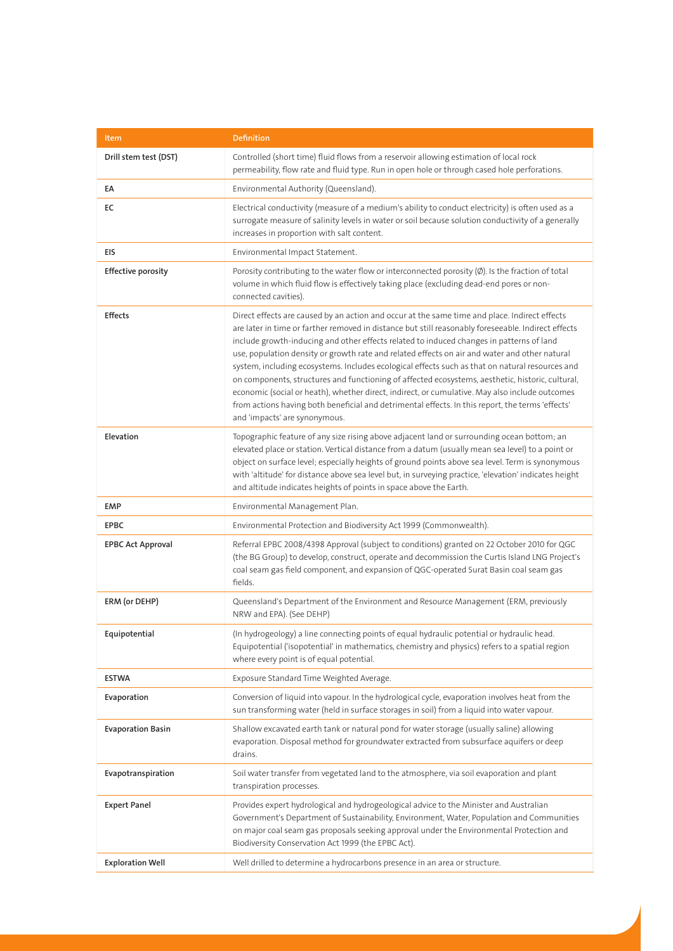| Item                      | <b>Definition</b>                                                                                                                                                                                                                                                                                                                                                                                                                                                                                                                                                                                                                                                                                                                                                                                                                               |
|---------------------------|-------------------------------------------------------------------------------------------------------------------------------------------------------------------------------------------------------------------------------------------------------------------------------------------------------------------------------------------------------------------------------------------------------------------------------------------------------------------------------------------------------------------------------------------------------------------------------------------------------------------------------------------------------------------------------------------------------------------------------------------------------------------------------------------------------------------------------------------------|
| Drill stem test (DST)     | Controlled (short time) fluid flows from a reservoir allowing estimation of local rock<br>permeability, flow rate and fluid type. Run in open hole or through cased hole perforations.                                                                                                                                                                                                                                                                                                                                                                                                                                                                                                                                                                                                                                                          |
| EA                        | Environmental Authority (Queensland).                                                                                                                                                                                                                                                                                                                                                                                                                                                                                                                                                                                                                                                                                                                                                                                                           |
| EC                        | Electrical conductivity (measure of a medium's ability to conduct electricity) is often used as a<br>surrogate measure of salinity levels in water or soil because solution conductivity of a generally<br>increases in proportion with salt content.                                                                                                                                                                                                                                                                                                                                                                                                                                                                                                                                                                                           |
| EIS                       | Environmental Impact Statement.                                                                                                                                                                                                                                                                                                                                                                                                                                                                                                                                                                                                                                                                                                                                                                                                                 |
| <b>Effective porosity</b> | Porosity contributing to the water flow or interconnected porosity $(\emptyset)$ . Is the fraction of total<br>volume in which fluid flow is effectively taking place (excluding dead-end pores or non-<br>connected cavities).                                                                                                                                                                                                                                                                                                                                                                                                                                                                                                                                                                                                                 |
| <b>Effects</b>            | Direct effects are caused by an action and occur at the same time and place. Indirect effects<br>are later in time or farther removed in distance but still reasonably foreseeable. Indirect effects<br>include growth-inducing and other effects related to induced changes in patterns of land<br>use, population density or growth rate and related effects on air and water and other natural<br>system, including ecosystems. Includes ecological effects such as that on natural resources and<br>on components, structures and functioning of affected ecosystems, aesthetic, historic, cultural,<br>economic (social or heath), whether direct, indirect, or cumulative. May also include outcomes<br>from actions having both beneficial and detrimental effects. In this report, the terms 'effects'<br>and 'impacts' are synonymous. |
| Elevation                 | Topographic feature of any size rising above adjacent land or surrounding ocean bottom; an<br>elevated place or station. Vertical distance from a datum (usually mean sea level) to a point or<br>object on surface level; especially heights of ground points above sea level. Term is synonymous<br>with 'altitude' for distance above sea level but, in surveying practice, 'elevation' indicates height<br>and altitude indicates heights of points in space above the Earth.                                                                                                                                                                                                                                                                                                                                                               |
| <b>EMP</b>                | Environmental Management Plan.                                                                                                                                                                                                                                                                                                                                                                                                                                                                                                                                                                                                                                                                                                                                                                                                                  |
| <b>EPBC</b>               | Environmental Protection and Biodiversity Act 1999 (Commonwealth).                                                                                                                                                                                                                                                                                                                                                                                                                                                                                                                                                                                                                                                                                                                                                                              |
| <b>EPBC Act Approval</b>  | Referral EPBC 2008/4398 Approval (subject to conditions) granted on 22 October 2010 for QGC<br>(the BG Group) to develop, construct, operate and decommission the Curtis Island LNG Project's<br>coal seam gas field component, and expansion of QGC-operated Surat Basin coal seam gas<br>fields.                                                                                                                                                                                                                                                                                                                                                                                                                                                                                                                                              |
| ERM (or DEHP)             | Queensland's Department of the Environment and Resource Management (ERM, previously<br>NRW and EPA). (See DEHP)                                                                                                                                                                                                                                                                                                                                                                                                                                                                                                                                                                                                                                                                                                                                 |
| Equipotential             | (In hydrogeology) a line connecting points of equal hydraulic potential or hydraulic head.<br>Equipotential ('isopotential' in mathematics, chemistry and physics) refers to a spatial region<br>where every point is of equal potential.                                                                                                                                                                                                                                                                                                                                                                                                                                                                                                                                                                                                       |
| <b>ESTWA</b>              | Exposure Standard Time Weighted Average.                                                                                                                                                                                                                                                                                                                                                                                                                                                                                                                                                                                                                                                                                                                                                                                                        |
| Evaporation               | Conversion of liquid into vapour. In the hydrological cycle, evaporation involves heat from the<br>sun transforming water (held in surface storages in soil) from a liquid into water vapour.                                                                                                                                                                                                                                                                                                                                                                                                                                                                                                                                                                                                                                                   |
| <b>Evaporation Basin</b>  | Shallow excavated earth tank or natural pond for water storage (usually saline) allowing<br>evaporation. Disposal method for groundwater extracted from subsurface aquifers or deep<br>drains.                                                                                                                                                                                                                                                                                                                                                                                                                                                                                                                                                                                                                                                  |
| Evapotranspiration        | Soil water transfer from vegetated land to the atmosphere, via soil evaporation and plant<br>transpiration processes.                                                                                                                                                                                                                                                                                                                                                                                                                                                                                                                                                                                                                                                                                                                           |
| <b>Expert Panel</b>       | Provides expert hydrological and hydrogeological advice to the Minister and Australian<br>Government's Department of Sustainability, Environment, Water, Population and Communities<br>on major coal seam gas proposals seeking approval under the Environmental Protection and<br>Biodiversity Conservation Act 1999 (the EPBC Act).                                                                                                                                                                                                                                                                                                                                                                                                                                                                                                           |
| <b>Exploration Well</b>   | Well drilled to determine a hydrocarbons presence in an area or structure.                                                                                                                                                                                                                                                                                                                                                                                                                                                                                                                                                                                                                                                                                                                                                                      |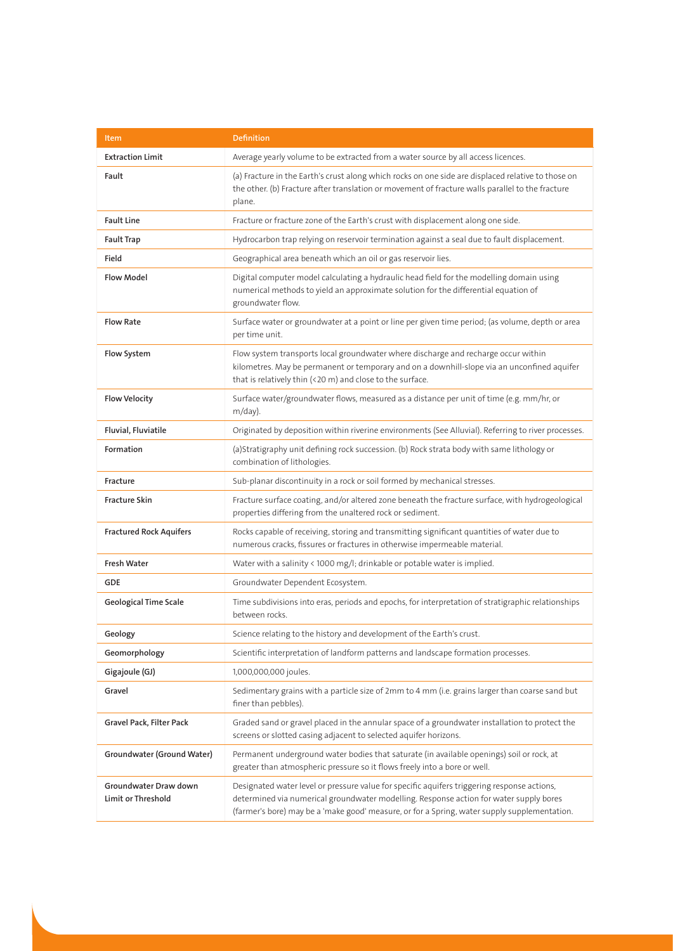| Item                                        | <b>Definition</b>                                                                                                                                                                                                                                                                     |
|---------------------------------------------|---------------------------------------------------------------------------------------------------------------------------------------------------------------------------------------------------------------------------------------------------------------------------------------|
| <b>Extraction Limit</b>                     | Average yearly volume to be extracted from a water source by all access licences.                                                                                                                                                                                                     |
| Fault                                       | (a) Fracture in the Earth's crust along which rocks on one side are displaced relative to those on<br>the other. (b) Fracture after translation or movement of fracture walls parallel to the fracture<br>plane.                                                                      |
| <b>Fault Line</b>                           | Fracture or fracture zone of the Earth's crust with displacement along one side.                                                                                                                                                                                                      |
| <b>Fault Trap</b>                           | Hydrocarbon trap relying on reservoir termination against a seal due to fault displacement.                                                                                                                                                                                           |
| Field                                       | Geographical area beneath which an oil or gas reservoir lies.                                                                                                                                                                                                                         |
| <b>Flow Model</b>                           | Digital computer model calculating a hydraulic head field for the modelling domain using<br>numerical methods to yield an approximate solution for the differential equation of<br>groundwater flow.                                                                                  |
| <b>Flow Rate</b>                            | Surface water or groundwater at a point or line per given time period; (as volume, depth or area<br>per time unit.                                                                                                                                                                    |
| Flow System                                 | Flow system transports local groundwater where discharge and recharge occur within<br>kilometres. May be permanent or temporary and on a downhill-slope via an unconfined aquifer<br>that is relatively thin (<20 m) and close to the surface.                                        |
| <b>Flow Velocity</b>                        | Surface water/groundwater flows, measured as a distance per unit of time (e.g. mm/hr, or<br>$m/day)$ .                                                                                                                                                                                |
| Fluvial, Fluviatile                         | Originated by deposition within riverine environments (See Alluvial). Referring to river processes.                                                                                                                                                                                   |
| Formation                                   | (a)Stratigraphy unit defining rock succession. (b) Rock strata body with same lithology or<br>combination of lithologies.                                                                                                                                                             |
| Fracture                                    | Sub-planar discontinuity in a rock or soil formed by mechanical stresses.                                                                                                                                                                                                             |
| <b>Fracture Skin</b>                        | Fracture surface coating, and/or altered zone beneath the fracture surface, with hydrogeological<br>properties differing from the unaltered rock or sediment.                                                                                                                         |
| <b>Fractured Rock Aquifers</b>              | Rocks capable of receiving, storing and transmitting significant quantities of water due to<br>numerous cracks, fissures or fractures in otherwise impermeable material.                                                                                                              |
| <b>Fresh Water</b>                          | Water with a salinity $\langle 1000 \text{ mg/} \vert$ ; drinkable or potable water is implied.                                                                                                                                                                                       |
| <b>GDE</b>                                  | Groundwater Dependent Ecosystem.                                                                                                                                                                                                                                                      |
| Geological Time Scale                       | Time subdivisions into eras, periods and epochs, for interpretation of stratigraphic relationships<br>between rocks.                                                                                                                                                                  |
| Geology                                     | Science relating to the history and development of the Earth's crust.                                                                                                                                                                                                                 |
| Geomorphology                               | Scientific interpretation of landform patterns and landscape formation processes.                                                                                                                                                                                                     |
| Gigajoule (GJ)                              | 1,000,000,000 joules.                                                                                                                                                                                                                                                                 |
| Gravel                                      | Sedimentary grains with a particle size of 2mm to 4 mm (i.e. grains larger than coarse sand but<br>finer than pebbles).                                                                                                                                                               |
| Gravel Pack, Filter Pack                    | Graded sand or gravel placed in the annular space of a groundwater installation to protect the<br>screens or slotted casing adjacent to selected aquifer horizons.                                                                                                                    |
| Groundwater (Ground Water)                  | Permanent underground water bodies that saturate (in available openings) soil or rock, at<br>greater than atmospheric pressure so it flows freely into a bore or well.                                                                                                                |
| Groundwater Draw down<br>Limit or Threshold | Designated water level or pressure value for specific aquifers triggering response actions,<br>determined via numerical groundwater modelling. Response action for water supply bores<br>(farmer's bore) may be a 'make good' measure, or for a Spring, water supply supplementation. |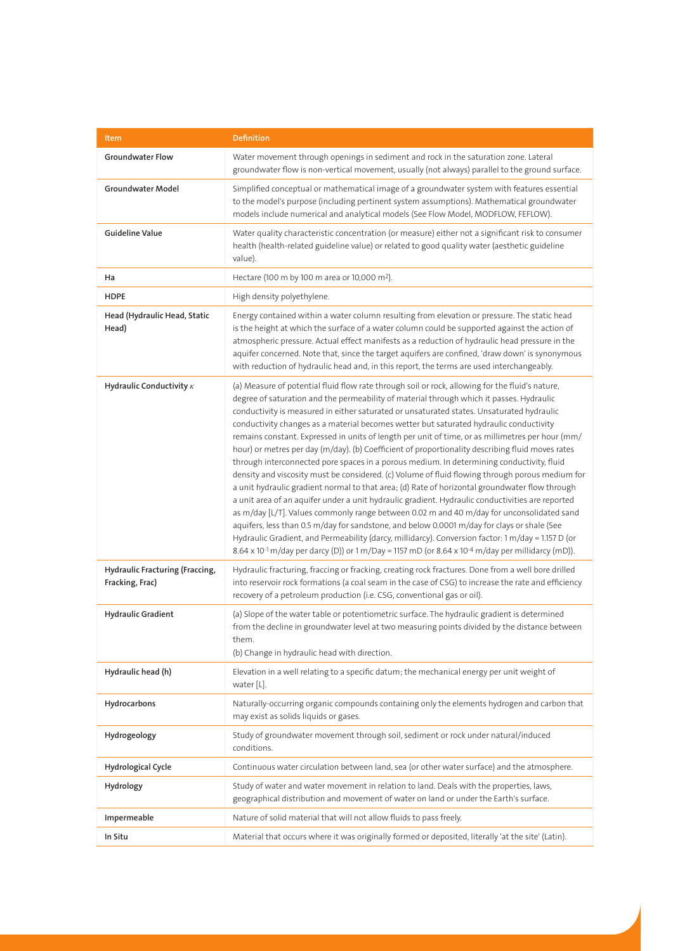| Item                                               | <b>Definition</b>                                                                                                                                                                                                                                                                                                                                                                                                                                                                                                                                                                                                                                                                                                                                                                                                                                                                                                                                                                                                                                                                                                                                                                                                                                                                                                                                                                                                               |
|----------------------------------------------------|---------------------------------------------------------------------------------------------------------------------------------------------------------------------------------------------------------------------------------------------------------------------------------------------------------------------------------------------------------------------------------------------------------------------------------------------------------------------------------------------------------------------------------------------------------------------------------------------------------------------------------------------------------------------------------------------------------------------------------------------------------------------------------------------------------------------------------------------------------------------------------------------------------------------------------------------------------------------------------------------------------------------------------------------------------------------------------------------------------------------------------------------------------------------------------------------------------------------------------------------------------------------------------------------------------------------------------------------------------------------------------------------------------------------------------|
| <b>Groundwater Flow</b>                            | Water movement through openings in sediment and rock in the saturation zone. Lateral<br>groundwater flow is non-vertical movement, usually (not always) parallel to the ground surface.                                                                                                                                                                                                                                                                                                                                                                                                                                                                                                                                                                                                                                                                                                                                                                                                                                                                                                                                                                                                                                                                                                                                                                                                                                         |
| Groundwater Model                                  | Simplified conceptual or mathematical image of a groundwater system with features essential<br>to the model's purpose (including pertinent system assumptions). Mathematical groundwater<br>models include numerical and analytical models (See Flow Model, MODFLOW, FEFLOW).                                                                                                                                                                                                                                                                                                                                                                                                                                                                                                                                                                                                                                                                                                                                                                                                                                                                                                                                                                                                                                                                                                                                                   |
| <b>Guideline Value</b>                             | Water quality characteristic concentration (or measure) either not a significant risk to consumer<br>health (health-related guideline value) or related to good quality water (aesthetic guideline<br>value).                                                                                                                                                                                                                                                                                                                                                                                                                                                                                                                                                                                                                                                                                                                                                                                                                                                                                                                                                                                                                                                                                                                                                                                                                   |
| Ha                                                 | Hectare (100 m by 100 m area or 10,000 m <sup>2</sup> ).                                                                                                                                                                                                                                                                                                                                                                                                                                                                                                                                                                                                                                                                                                                                                                                                                                                                                                                                                                                                                                                                                                                                                                                                                                                                                                                                                                        |
| <b>HDPE</b>                                        | High density polyethylene.                                                                                                                                                                                                                                                                                                                                                                                                                                                                                                                                                                                                                                                                                                                                                                                                                                                                                                                                                                                                                                                                                                                                                                                                                                                                                                                                                                                                      |
| Head (Hydraulic Head, Static<br>Head)              | Energy contained within a water column resulting from elevation or pressure. The static head<br>is the height at which the surface of a water column could be supported against the action of<br>atmospheric pressure. Actual effect manifests as a reduction of hydraulic head pressure in the<br>aquifer concerned. Note that, since the target aquifers are confined, 'draw down' is synonymous<br>with reduction of hydraulic head and, in this report, the terms are used interchangeably.                                                                                                                                                                                                                                                                                                                                                                                                                                                                                                                                                                                                                                                                                                                                                                                                                                                                                                                                 |
| Hydraulic Conductivity $\kappa$                    | (a) Measure of potential fluid flow rate through soil or rock, allowing for the fluid's nature,<br>degree of saturation and the permeability of material through which it passes. Hydraulic<br>conductivity is measured in either saturated or unsaturated states. Unsaturated hydraulic<br>conductivity changes as a material becomes wetter but saturated hydraulic conductivity<br>remains constant. Expressed in units of length per unit of time, or as millimetres per hour (mm/<br>hour) or metres per day (m/day). (b) Coefficient of proportionality describing fluid moves rates<br>through interconnected pore spaces in a porous medium. In determining conductivity, fluid<br>density and viscosity must be considered. (c) Volume of fluid flowing through porous medium for<br>a unit hydraulic gradient normal to that area; (d) Rate of horizontal groundwater flow through<br>a unit area of an aquifer under a unit hydraulic gradient. Hydraulic conductivities are reported<br>as m/day [L/T]. Values commonly range between 0.02 m and 40 m/day for unconsolidated sand<br>aquifers, less than 0.5 m/day for sandstone, and below 0.0001 m/day for clays or shale (See<br>Hydraulic Gradient, and Permeability (darcy, millidarcy). Conversion factor: 1 m/day = 1.157 D (or<br>8.64 x 10 <sup>-1</sup> m/day per darcy (D)) or 1 m/Day = 1157 mD (or 8.64 x 10 <sup>-4</sup> m/day per millidarcy (mD)). |
| Hydraulic Fracturing (Fraccing,<br>Fracking, Frac) | Hydraulic fracturing, fraccing or fracking, creating rock fractures. Done from a well bore drilled<br>into reservoir rock formations (a coal seam in the case of CSG) to increase the rate and efficiency<br>recovery of a petroleum production (i.e. CSG, conventional gas or oil).                                                                                                                                                                                                                                                                                                                                                                                                                                                                                                                                                                                                                                                                                                                                                                                                                                                                                                                                                                                                                                                                                                                                            |
| <b>Hydraulic Gradient</b>                          | (a) Slope of the water table or potentiometric surface. The hydraulic gradient is determined<br>from the decline in groundwater level at two measuring points divided by the distance between<br>them.<br>(b) Change in hydraulic head with direction.                                                                                                                                                                                                                                                                                                                                                                                                                                                                                                                                                                                                                                                                                                                                                                                                                                                                                                                                                                                                                                                                                                                                                                          |
| Hydraulic head (h)                                 | Elevation in a well relating to a specific datum; the mechanical energy per unit weight of<br>water [L].                                                                                                                                                                                                                                                                                                                                                                                                                                                                                                                                                                                                                                                                                                                                                                                                                                                                                                                                                                                                                                                                                                                                                                                                                                                                                                                        |
| Hydrocarbons                                       | Naturally-occurring organic compounds containing only the elements hydrogen and carbon that<br>may exist as solids liquids or gases.                                                                                                                                                                                                                                                                                                                                                                                                                                                                                                                                                                                                                                                                                                                                                                                                                                                                                                                                                                                                                                                                                                                                                                                                                                                                                            |
| Hydrogeology                                       | Study of groundwater movement through soil, sediment or rock under natural/induced<br>conditions.                                                                                                                                                                                                                                                                                                                                                                                                                                                                                                                                                                                                                                                                                                                                                                                                                                                                                                                                                                                                                                                                                                                                                                                                                                                                                                                               |
| <b>Hydrological Cycle</b>                          | Continuous water circulation between land, sea (or other water surface) and the atmosphere.                                                                                                                                                                                                                                                                                                                                                                                                                                                                                                                                                                                                                                                                                                                                                                                                                                                                                                                                                                                                                                                                                                                                                                                                                                                                                                                                     |
| Hydrology                                          | Study of water and water movement in relation to land. Deals with the properties, laws,<br>geographical distribution and movement of water on land or under the Earth's surface.                                                                                                                                                                                                                                                                                                                                                                                                                                                                                                                                                                                                                                                                                                                                                                                                                                                                                                                                                                                                                                                                                                                                                                                                                                                |
| Impermeable                                        | Nature of solid material that will not allow fluids to pass freely.                                                                                                                                                                                                                                                                                                                                                                                                                                                                                                                                                                                                                                                                                                                                                                                                                                                                                                                                                                                                                                                                                                                                                                                                                                                                                                                                                             |
| In Situ                                            | Material that occurs where it was originally formed or deposited, literally 'at the site' (Latin).                                                                                                                                                                                                                                                                                                                                                                                                                                                                                                                                                                                                                                                                                                                                                                                                                                                                                                                                                                                                                                                                                                                                                                                                                                                                                                                              |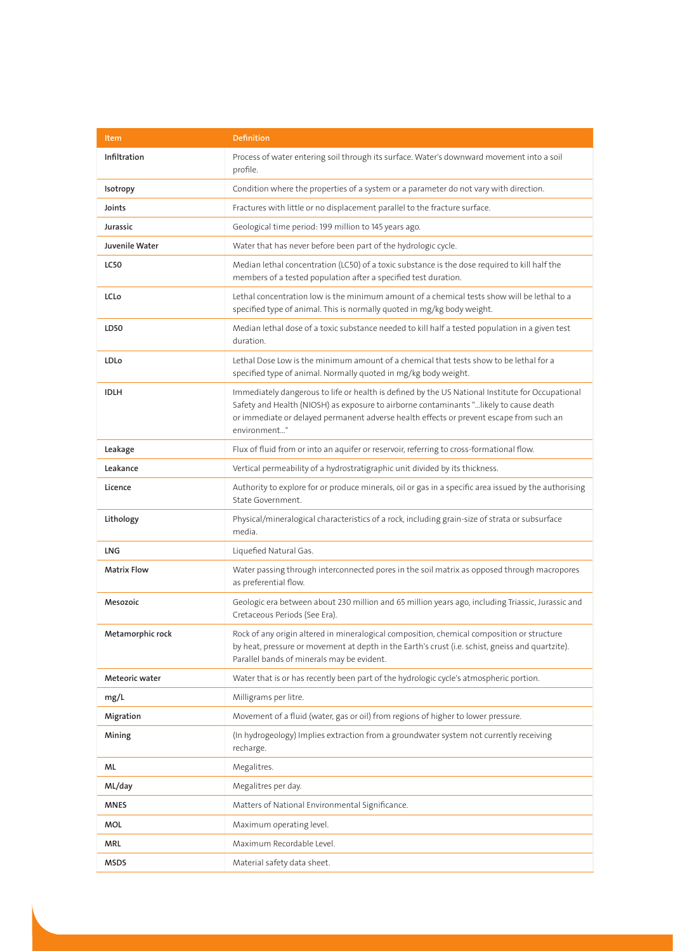| Item               | <b>Definition</b>                                                                                                                                                                                                                                                                                    |
|--------------------|------------------------------------------------------------------------------------------------------------------------------------------------------------------------------------------------------------------------------------------------------------------------------------------------------|
| Infiltration       | Process of water entering soil through its surface. Water's downward movement into a soil<br>profile.                                                                                                                                                                                                |
| <b>Isotropy</b>    | Condition where the properties of a system or a parameter do not vary with direction.                                                                                                                                                                                                                |
| Joints             | Fractures with little or no displacement parallel to the fracture surface.                                                                                                                                                                                                                           |
| Jurassic           | Geological time period: 199 million to 145 years ago.                                                                                                                                                                                                                                                |
| Juvenile Water     | Water that has never before been part of the hydrologic cycle.                                                                                                                                                                                                                                       |
| <b>LC50</b>        | Median lethal concentration (LC50) of a toxic substance is the dose required to kill half the<br>members of a tested population after a specified test duration.                                                                                                                                     |
| LCLo               | Lethal concentration low is the minimum amount of a chemical tests show will be lethal to a<br>specified type of animal. This is normally quoted in mg/kg body weight.                                                                                                                               |
| LD50               | Median lethal dose of a toxic substance needed to kill half a tested population in a given test<br>duration.                                                                                                                                                                                         |
| LDLo               | Lethal Dose Low is the minimum amount of a chemical that tests show to be lethal for a<br>specified type of animal. Normally quoted in mg/kg body weight.                                                                                                                                            |
| <b>IDLH</b>        | Immediately dangerous to life or health is defined by the US National Institute for Occupational<br>Safety and Health (NIOSH) as exposure to airborne contaminants "likely to cause death<br>or immediate or delayed permanent adverse health effects or prevent escape from such an<br>environment" |
| Leakage            | Flux of fluid from or into an aquifer or reservoir, referring to cross-formational flow.                                                                                                                                                                                                             |
| Leakance           | Vertical permeability of a hydrostratigraphic unit divided by its thickness.                                                                                                                                                                                                                         |
| Licence            | Authority to explore for or produce minerals, oil or gas in a specific area issued by the authorising<br>State Government.                                                                                                                                                                           |
| Lithology          | Physical/mineralogical characteristics of a rock, including grain-size of strata or subsurface<br>media.                                                                                                                                                                                             |
| <b>LNG</b>         | Liquefied Natural Gas.                                                                                                                                                                                                                                                                               |
| <b>Matrix Flow</b> | Water passing through interconnected pores in the soil matrix as opposed through macropores<br>as preferential flow.                                                                                                                                                                                 |
| Mesozoic           | Geologic era between about 230 million and 65 million years ago, including Triassic, Jurassic and<br>Cretaceous Periods (See Era).                                                                                                                                                                   |
| Metamorphic rock   | Rock of any origin altered in mineralogical composition, chemical composition or structure<br>by heat, pressure or movement at depth in the Earth's crust (i.e. schist, gneiss and quartzite).<br>Parallel bands of minerals may be evident.                                                         |
| Meteoric water     | Water that is or has recently been part of the hydrologic cycle's atmospheric portion.                                                                                                                                                                                                               |
| mg/L               | Milligrams per litre.                                                                                                                                                                                                                                                                                |
| Migration          | Movement of a fluid (water, gas or oil) from regions of higher to lower pressure.                                                                                                                                                                                                                    |
| Mining             | (In hydrogeology) Implies extraction from a groundwater system not currently receiving<br>recharge.                                                                                                                                                                                                  |
| ML                 | Megalitres.                                                                                                                                                                                                                                                                                          |
| ML/day             | Megalitres per day.                                                                                                                                                                                                                                                                                  |
| <b>MNES</b>        | Matters of National Environmental Significance.                                                                                                                                                                                                                                                      |
| MOL                | Maximum operating level.                                                                                                                                                                                                                                                                             |
| <b>MRL</b>         | Maximum Recordable Level.                                                                                                                                                                                                                                                                            |
| <b>MSDS</b>        | Material safety data sheet.                                                                                                                                                                                                                                                                          |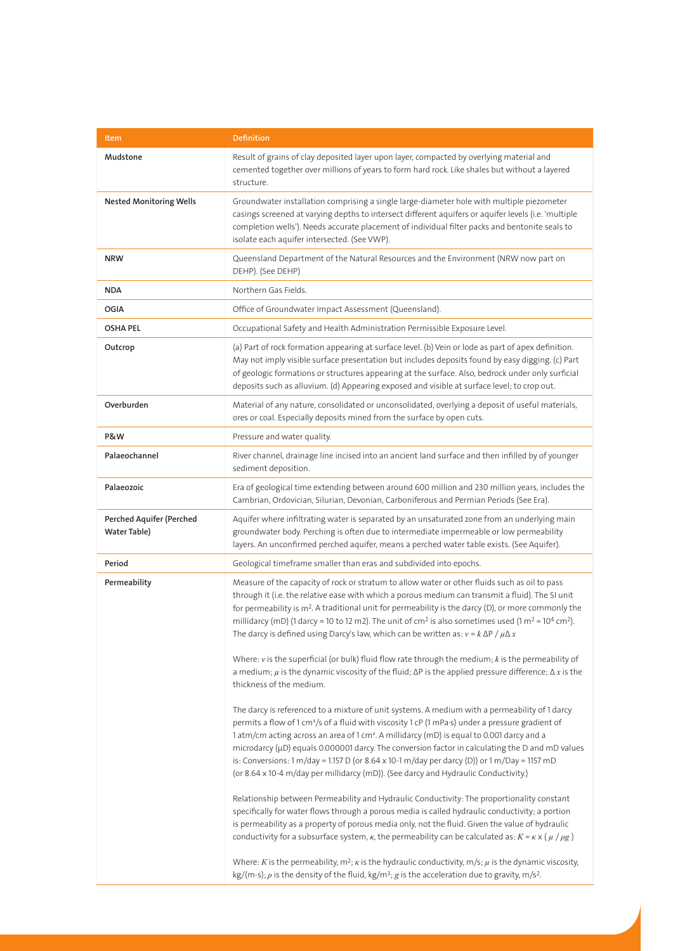| Item                                     | <b>Definition</b>                                                                                                                                                                                                                                                                                                                                                                                                                                                                                                                                                                                                      |
|------------------------------------------|------------------------------------------------------------------------------------------------------------------------------------------------------------------------------------------------------------------------------------------------------------------------------------------------------------------------------------------------------------------------------------------------------------------------------------------------------------------------------------------------------------------------------------------------------------------------------------------------------------------------|
| Mudstone                                 | Result of grains of clay deposited layer upon layer, compacted by overlying material and<br>cemented together over millions of years to form hard rock. Like shales but without a layered<br>structure.                                                                                                                                                                                                                                                                                                                                                                                                                |
| <b>Nested Monitoring Wells</b>           | Groundwater installation comprising a single large-diameter hole with multiple piezometer<br>casings screened at varying depths to intersect different aquifers or aquifer levels (i.e. 'multiple<br>completion wells'). Needs accurate placement of individual filter packs and bentonite seals to<br>isolate each aquifer intersected. (See VWP).                                                                                                                                                                                                                                                                    |
| <b>NRW</b>                               | Queensland Department of the Natural Resources and the Environment (NRW now part on<br>DEHP). (See DEHP)                                                                                                                                                                                                                                                                                                                                                                                                                                                                                                               |
| <b>NDA</b>                               | Northern Gas Fields.                                                                                                                                                                                                                                                                                                                                                                                                                                                                                                                                                                                                   |
| OGIA                                     | Office of Groundwater Impact Assessment (Queensland).                                                                                                                                                                                                                                                                                                                                                                                                                                                                                                                                                                  |
| <b>OSHA PEL</b>                          | Occupational Safety and Health Administration Permissible Exposure Level.                                                                                                                                                                                                                                                                                                                                                                                                                                                                                                                                              |
| Outcrop                                  | (a) Part of rock formation appearing at surface level. (b) Vein or lode as part of apex definition.<br>May not imply visible surface presentation but includes deposits found by easy digging. (c) Part<br>of geologic formations or structures appearing at the surface. Also, bedrock under only surficial<br>deposits such as alluvium. (d) Appearing exposed and visible at surface level; to crop out.                                                                                                                                                                                                            |
| Overburden                               | Material of any nature, consolidated or unconsolidated, overlying a deposit of useful materials,<br>ores or coal. Especially deposits mined from the surface by open cuts.                                                                                                                                                                                                                                                                                                                                                                                                                                             |
| P&W                                      | Pressure and water quality.                                                                                                                                                                                                                                                                                                                                                                                                                                                                                                                                                                                            |
| Palaeochannel                            | River channel, drainage line incised into an ancient land surface and then infilled by of younger<br>sediment deposition.                                                                                                                                                                                                                                                                                                                                                                                                                                                                                              |
| Palaeozoic                               | Era of geological time extending between around 600 million and 230 million years, includes the<br>Cambrian, Ordovician, Silurian, Devonian, Carboniferous and Permian Periods (See Era).                                                                                                                                                                                                                                                                                                                                                                                                                              |
| Perched Aquifer (Perched<br>Water Table) | Aquifer where infiltrating water is separated by an unsaturated zone from an underlying main<br>groundwater body. Perching is often due to intermediate impermeable or low permeability<br>layers. An unconfirmed perched aquifer, means a perched water table exists. (See Aquifer).                                                                                                                                                                                                                                                                                                                                  |
| Period                                   | Geological timeframe smaller than eras and subdivided into epochs.                                                                                                                                                                                                                                                                                                                                                                                                                                                                                                                                                     |
| Permeability                             | Measure of the capacity of rock or stratum to allow water or other fluids such as oil to pass<br>through it (i.e. the relative ease with which a porous medium can transmit a fluid). The SI unit<br>for permeability is m <sup>2</sup> . A traditional unit for permeability is the darcy (D), or more commonly the<br>millidarcy (mD) (1 darcy $\approx$ 10 to 12 m2). The unit of cm <sup>2</sup> is also sometimes used (1 m <sup>2</sup> = 10 <sup>4</sup> cm <sup>2</sup> ).<br>The darcy is defined using Darcy's law, which can be written as: $v = k \Delta P / \mu \Delta x$                                 |
|                                          | Where: $v$ is the superficial (or bulk) fluid flow rate through the medium; $k$ is the permeability of<br>a medium; $\mu$ is the dynamic viscosity of the fluid; $\Delta P$ is the applied pressure difference; $\Delta x$ is the<br>thickness of the medium.                                                                                                                                                                                                                                                                                                                                                          |
|                                          | The darcy is referenced to a mixture of unit systems. A medium with a permeability of 1 darcy<br>permits a flow of 1 cm <sup>3</sup> /s of a fluid with viscosity 1 cP (1 mPa·s) under a pressure gradient of<br>1 atm/cm acting across an area of 1 cm <sup>2</sup> . A millidarcy (mD) is equal to 0.001 darcy and a<br>microdarcy ( $\mu$ D) equals 0.000001 darcy. The conversion factor in calculating the D and mD values<br>is: Conversions: 1 m/day = 1.157 D (or 8.64 x 10-1 m/day per darcy (D)) or 1 m/Day = 1157 mD<br>(or 8.64 x 10-4 m/day per millidarcy (mD)). (See darcy and Hydraulic Conductivity.) |
|                                          | Relationship between Permeability and Hydraulic Conductivity: The proportionality constant<br>specifically for water flows through a porous media is called hydraulic conductivity; a portion<br>is permeability as a property of porous media only, not the fluid. Given the value of hydraulic<br>conductivity for a subsurface system, $\kappa$ , the permeability can be calculated as: $K = \kappa \times (\mu / \rho g)$                                                                                                                                                                                         |
|                                          | Where: K is the permeability, $m^2$ ; $\kappa$ is the hydraulic conductivity, $m/s$ ; $\mu$ is the dynamic viscosity,<br>$kg/(m-s)$ ; $\rho$ is the density of the fluid, kg/m <sup>3</sup> ; g is the acceleration due to gravity, m/s <sup>2</sup> .                                                                                                                                                                                                                                                                                                                                                                 |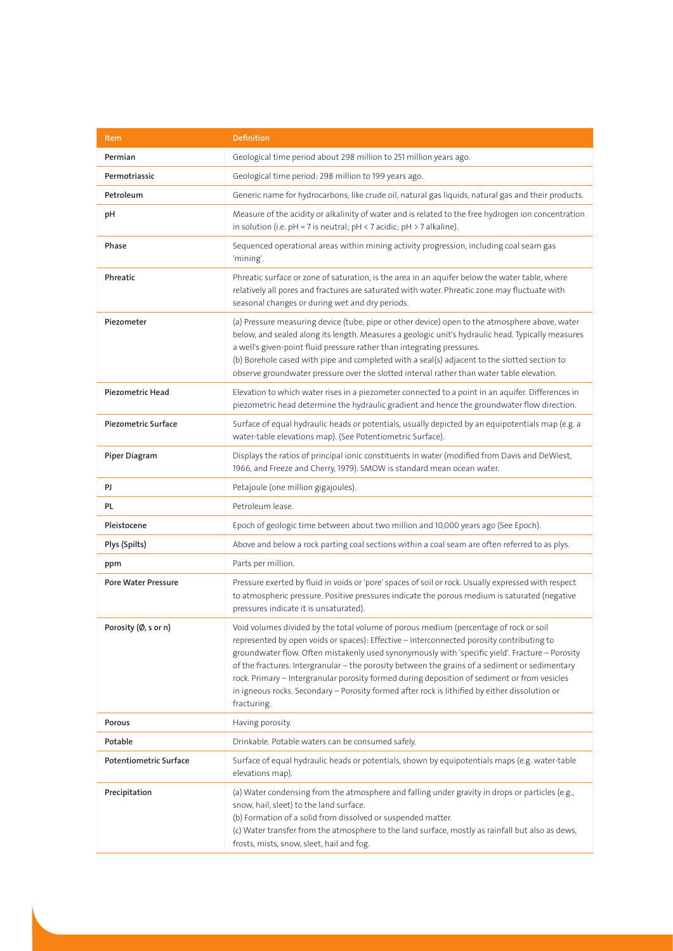| Item                          | <b>Definition</b>                                                                                                                                                                                                                                                                                                                                                                                                                                                                                                                                                                                        |
|-------------------------------|----------------------------------------------------------------------------------------------------------------------------------------------------------------------------------------------------------------------------------------------------------------------------------------------------------------------------------------------------------------------------------------------------------------------------------------------------------------------------------------------------------------------------------------------------------------------------------------------------------|
| Permian                       | Geological time period about 298 million to 251 million years ago.                                                                                                                                                                                                                                                                                                                                                                                                                                                                                                                                       |
| Permotriassic                 | Geological time period: 298 million to 199 years ago.                                                                                                                                                                                                                                                                                                                                                                                                                                                                                                                                                    |
| Petroleum                     | Generic name for hydrocarbons, like crude oil, natural gas liquids, natural gas and their products.                                                                                                                                                                                                                                                                                                                                                                                                                                                                                                      |
| рH                            | Measure of the acidity or alkalinity of water and is related to the free hydrogen ion concentration<br>in solution (i.e. $pH = 7$ is neutral; $pH < 7$ acidic; $pH > 7$ alkaline).                                                                                                                                                                                                                                                                                                                                                                                                                       |
| Phase                         | Sequenced operational areas within mining activity progression, including coal seam gas<br>'mining'.                                                                                                                                                                                                                                                                                                                                                                                                                                                                                                     |
| Phreatic                      | Phreatic surface or zone of saturation, is the area in an aquifer below the water table, where<br>relatively all pores and fractures are saturated with water. Phreatic zone may fluctuate with<br>seasonal changes or during wet and dry periods.                                                                                                                                                                                                                                                                                                                                                       |
| Piezometer                    | (a) Pressure measuring device (tube, pipe or other device) open to the atmosphere above, water<br>below, and sealed along its length. Measures a geologic unit's hydraulic head. Typically measures<br>a well's given-point fluid pressure rather than integrating pressures.<br>(b) Borehole cased with pipe and completed with a seal(s) adjacent to the slotted section to<br>observe groundwater pressure over the slotted interval rather than water table elevation.                                                                                                                               |
| Piezometric Head              | Elevation to which water rises in a piezometer connected to a point in an aquifer. Differences in<br>piezometric head determine the hydraulic gradient and hence the groundwater flow direction.                                                                                                                                                                                                                                                                                                                                                                                                         |
| <b>Piezometric Surface</b>    | Surface of equal hydraulic heads or potentials, usually depicted by an equipotentials map (e.g. a<br>water-table elevations map). (See Potentiometric Surface).                                                                                                                                                                                                                                                                                                                                                                                                                                          |
| <b>Piper Diagram</b>          | Displays the ratios of principal ionic constituents in water (modified from Davis and DeWiest,<br>1966, and Freeze and Cherry, 1979). SMOW is standard mean ocean water.                                                                                                                                                                                                                                                                                                                                                                                                                                 |
| PJ                            | Petajoule (one million gigajoules).                                                                                                                                                                                                                                                                                                                                                                                                                                                                                                                                                                      |
| PL.                           | Petroleum lease.                                                                                                                                                                                                                                                                                                                                                                                                                                                                                                                                                                                         |
| Pleistocene                   | Epoch of geologic time between about two million and 10,000 years ago (See Epoch).                                                                                                                                                                                                                                                                                                                                                                                                                                                                                                                       |
| Plys (Spilts)                 | Above and below a rock parting coal sections within a coal seam are often referred to as plys.                                                                                                                                                                                                                                                                                                                                                                                                                                                                                                           |
| ppm                           | Parts per million.                                                                                                                                                                                                                                                                                                                                                                                                                                                                                                                                                                                       |
| <b>Pore Water Pressure</b>    | Pressure exerted by fluid in voids or 'pore' spaces of soil or rock. Usually expressed with respect<br>to atmospheric pressure. Positive pressures indicate the porous medium is saturated (negative<br>pressures indicate it is unsaturated).                                                                                                                                                                                                                                                                                                                                                           |
| Porosity (Ø, s or n)          | Void volumes divided by the total volume of porous medium (percentage of rock or soil<br>represented by open voids or spaces): Effective - Interconnected porosity contributing to<br>groundwater flow. Often mistakenly used synonymously with 'specific yield'. Fracture - Porosity<br>of the fractures. Intergranular - the porosity between the grains of a sediment or sedimentary<br>rock. Primary - Intergranular porosity formed during deposition of sediment or from vesicles<br>in igneous rocks. Secondary - Porosity formed after rock is lithified by either dissolution or<br>fracturing. |
| Porous                        | Having porosity.                                                                                                                                                                                                                                                                                                                                                                                                                                                                                                                                                                                         |
| Potable                       | Drinkable. Potable waters can be consumed safely.                                                                                                                                                                                                                                                                                                                                                                                                                                                                                                                                                        |
| <b>Potentiometric Surface</b> | Surface of equal hydraulic heads or potentials, shown by equipotentials maps (e.g. water-table<br>elevations map).                                                                                                                                                                                                                                                                                                                                                                                                                                                                                       |
| Precipitation                 | (a) Water condensing from the atmosphere and falling under gravity in drops or particles (e.g.,<br>snow, hail, sleet) to the land surface.<br>(b) Formation of a solid from dissolved or suspended matter.<br>(c) Water transfer from the atmosphere to the land surface, mostly as rainfall but also as dews,<br>frosts, mists, snow, sleet, hail and fog.                                                                                                                                                                                                                                              |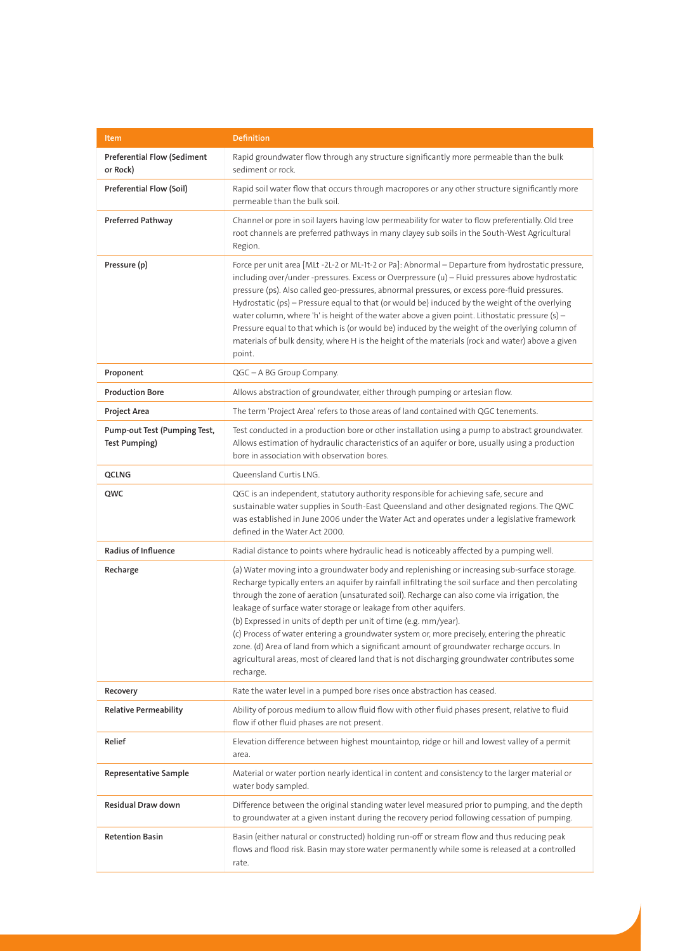| Item                                                 | <b>Definition</b>                                                                                                                                                                                                                                                                                                                                                                                                                                                                                                                                                                                                                                                                                                                                     |
|------------------------------------------------------|-------------------------------------------------------------------------------------------------------------------------------------------------------------------------------------------------------------------------------------------------------------------------------------------------------------------------------------------------------------------------------------------------------------------------------------------------------------------------------------------------------------------------------------------------------------------------------------------------------------------------------------------------------------------------------------------------------------------------------------------------------|
| <b>Preferential Flow (Sediment</b><br>or Rock)       | Rapid groundwater flow through any structure significantly more permeable than the bulk<br>sediment or rock.                                                                                                                                                                                                                                                                                                                                                                                                                                                                                                                                                                                                                                          |
| Preferential Flow (Soil)                             | Rapid soil water flow that occurs through macropores or any other structure significantly more<br>permeable than the bulk soil.                                                                                                                                                                                                                                                                                                                                                                                                                                                                                                                                                                                                                       |
| Preferred Pathway                                    | Channel or pore in soil layers having low permeability for water to flow preferentially. Old tree<br>root channels are preferred pathways in many clayey sub soils in the South-West Agricultural<br>Region.                                                                                                                                                                                                                                                                                                                                                                                                                                                                                                                                          |
| Pressure (p)                                         | Force per unit area [MLt -2L-2 or ML-1t-2 or Pa]: Abnormal - Departure from hydrostatic pressure,<br>including over/under -pressures. Excess or Overpressure (u) - Fluid pressures above hydrostatic<br>pressure (ps). Also called geo-pressures, abnormal pressures, or excess pore-fluid pressures.<br>Hydrostatic (ps) - Pressure equal to that (or would be) induced by the weight of the overlying<br>water column, where 'h' is height of the water above a given point. Lithostatic pressure (s) -<br>Pressure equal to that which is (or would be) induced by the weight of the overlying column of<br>materials of bulk density, where H is the height of the materials (rock and water) above a given<br>point.                             |
| Proponent                                            | QGC - A BG Group Company.                                                                                                                                                                                                                                                                                                                                                                                                                                                                                                                                                                                                                                                                                                                             |
| <b>Production Bore</b>                               | Allows abstraction of groundwater, either through pumping or artesian flow.                                                                                                                                                                                                                                                                                                                                                                                                                                                                                                                                                                                                                                                                           |
| Project Area                                         | The term 'Project Area' refers to those areas of land contained with QGC tenements.                                                                                                                                                                                                                                                                                                                                                                                                                                                                                                                                                                                                                                                                   |
| Pump-out Test (Pumping Test,<br><b>Test Pumping)</b> | Test conducted in a production bore or other installation using a pump to abstract groundwater.<br>Allows estimation of hydraulic characteristics of an aquifer or bore, usually using a production<br>bore in association with observation bores.                                                                                                                                                                                                                                                                                                                                                                                                                                                                                                    |
| QCLNG                                                | Queensland Curtis LNG.                                                                                                                                                                                                                                                                                                                                                                                                                                                                                                                                                                                                                                                                                                                                |
| QWC                                                  | QGC is an independent, statutory authority responsible for achieving safe, secure and<br>sustainable water supplies in South-East Queensland and other designated regions. The QWC<br>was established in June 2006 under the Water Act and operates under a legislative framework<br>defined in the Water Act 2000.                                                                                                                                                                                                                                                                                                                                                                                                                                   |
| Radius of Influence                                  | Radial distance to points where hydraulic head is noticeably affected by a pumping well.                                                                                                                                                                                                                                                                                                                                                                                                                                                                                                                                                                                                                                                              |
| Recharge                                             | (a) Water moving into a groundwater body and replenishing or increasing sub-surface storage.<br>Recharge typically enters an aquifer by rainfall infiltrating the soil surface and then percolating<br>through the zone of aeration (unsaturated soil). Recharge can also come via irrigation, the<br>leakage of surface water storage or leakage from other aquifers.<br>(b) Expressed in units of depth per unit of time (e.g. mm/year).<br>(c) Process of water entering a groundwater system or, more precisely, entering the phreatic<br>zone. (d) Area of land from which a significant amount of groundwater recharge occurs. In<br>agricultural areas, most of cleared land that is not discharging groundwater contributes some<br>recharge. |
| Recovery                                             | Rate the water level in a pumped bore rises once abstraction has ceased.                                                                                                                                                                                                                                                                                                                                                                                                                                                                                                                                                                                                                                                                              |
| <b>Relative Permeability</b>                         | Ability of porous medium to allow fluid flow with other fluid phases present, relative to fluid<br>flow if other fluid phases are not present.                                                                                                                                                                                                                                                                                                                                                                                                                                                                                                                                                                                                        |
| Relief                                               | Elevation difference between highest mountaintop, ridge or hill and lowest valley of a permit<br>area.                                                                                                                                                                                                                                                                                                                                                                                                                                                                                                                                                                                                                                                |
| <b>Representative Sample</b>                         | Material or water portion nearly identical in content and consistency to the larger material or<br>water body sampled.                                                                                                                                                                                                                                                                                                                                                                                                                                                                                                                                                                                                                                |
| Residual Draw down                                   | Difference between the original standing water level measured prior to pumping, and the depth<br>to groundwater at a given instant during the recovery period following cessation of pumping.                                                                                                                                                                                                                                                                                                                                                                                                                                                                                                                                                         |
| <b>Retention Basin</b>                               | Basin (either natural or constructed) holding run-off or stream flow and thus reducing peak<br>flows and flood risk. Basin may store water permanently while some is released at a controlled<br>rate.                                                                                                                                                                                                                                                                                                                                                                                                                                                                                                                                                |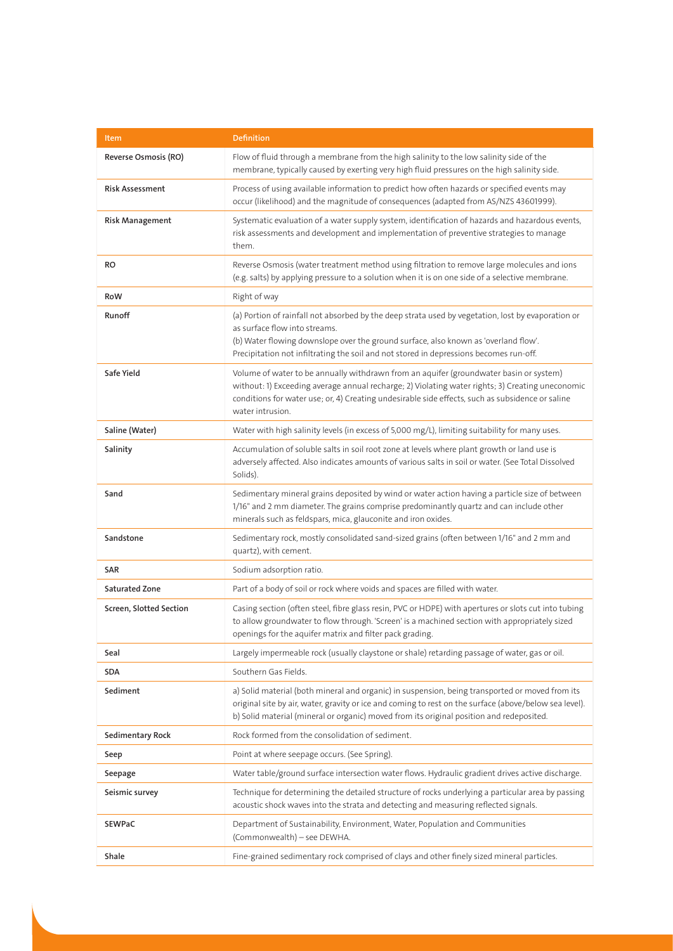| Item                    | <b>Definition</b>                                                                                                                                                                                                                                                                                                    |
|-------------------------|----------------------------------------------------------------------------------------------------------------------------------------------------------------------------------------------------------------------------------------------------------------------------------------------------------------------|
| Reverse Osmosis (RO)    | Flow of fluid through a membrane from the high salinity to the low salinity side of the<br>membrane, typically caused by exerting very high fluid pressures on the high salinity side.                                                                                                                               |
| <b>Risk Assessment</b>  | Process of using available information to predict how often hazards or specified events may<br>occur (likelihood) and the magnitude of consequences (adapted from AS/NZS 43601999).                                                                                                                                  |
| Risk Management         | Systematic evaluation of a water supply system, identification of hazards and hazardous events,<br>risk assessments and development and implementation of preventive strategies to manage<br>them.                                                                                                                   |
| RO                      | Reverse Osmosis (water treatment method using filtration to remove large molecules and ions<br>(e.g. salts) by applying pressure to a solution when it is on one side of a selective membrane.                                                                                                                       |
| RoW                     | Right of way                                                                                                                                                                                                                                                                                                         |
| Runoff                  | (a) Portion of rainfall not absorbed by the deep strata used by vegetation, lost by evaporation or<br>as surface flow into streams.<br>(b) Water flowing downslope over the ground surface, also known as 'overland flow'.<br>Precipitation not infiltrating the soil and not stored in depressions becomes run-off. |
| Safe Yield              | Volume of water to be annually withdrawn from an aquifer (groundwater basin or system)<br>without: 1) Exceeding average annual recharge; 2) Violating water rights; 3) Creating uneconomic<br>conditions for water use; or, 4) Creating undesirable side effects, such as subsidence or saline<br>water intrusion.   |
| Saline (Water)          | Water with high salinity levels (in excess of 5,000 mg/L), limiting suitability for many uses.                                                                                                                                                                                                                       |
| Salinity                | Accumulation of soluble salts in soil root zone at levels where plant growth or land use is<br>adversely affected. Also indicates amounts of various salts in soil or water. (See Total Dissolved<br>Solids).                                                                                                        |
| Sand                    | Sedimentary mineral grains deposited by wind or water action having a particle size of between<br>1/16" and 2 mm diameter. The grains comprise predominantly quartz and can include other<br>minerals such as feldspars, mica, glauconite and iron oxides.                                                           |
| Sandstone               | Sedimentary rock, mostly consolidated sand-sized grains (often between 1/16" and 2 mm and<br>quartz), with cement.                                                                                                                                                                                                   |
| SAR                     | Sodium adsorption ratio.                                                                                                                                                                                                                                                                                             |
| Saturated Zone          | Part of a body of soil or rock where voids and spaces are filled with water.                                                                                                                                                                                                                                         |
| Screen, Slotted Section | Casing section (often steel, fibre glass resin, PVC or HDPE) with apertures or slots cut into tubing<br>to allow groundwater to flow through. 'Screen' is a machined section with appropriately sized<br>openings for the aquifer matrix and filter pack grading.                                                    |
| Seal                    | Largely impermeable rock (usually claystone or shale) retarding passage of water, gas or oil.                                                                                                                                                                                                                        |
| SDA                     | Southern Gas Fields.                                                                                                                                                                                                                                                                                                 |
| Sediment                | a) Solid material (both mineral and organic) in suspension, being transported or moved from its<br>original site by air, water, gravity or ice and coming to rest on the surface (above/below sea level).<br>b) Solid material (mineral or organic) moved from its original position and redeposited.                |
| Sedimentary Rock        | Rock formed from the consolidation of sediment.                                                                                                                                                                                                                                                                      |
| Seep                    | Point at where seepage occurs. (See Spring).                                                                                                                                                                                                                                                                         |
| Seepage                 | Water table/ground surface intersection water flows. Hydraulic gradient drives active discharge.                                                                                                                                                                                                                     |
| Seismic survey          | Technique for determining the detailed structure of rocks underlying a particular area by passing<br>acoustic shock waves into the strata and detecting and measuring reflected signals.                                                                                                                             |
| SEWPaC                  | Department of Sustainability, Environment, Water, Population and Communities<br>(Commonwealth) - see DEWHA.                                                                                                                                                                                                          |
| Shale                   | Fine-grained sedimentary rock comprised of clays and other finely sized mineral particles.                                                                                                                                                                                                                           |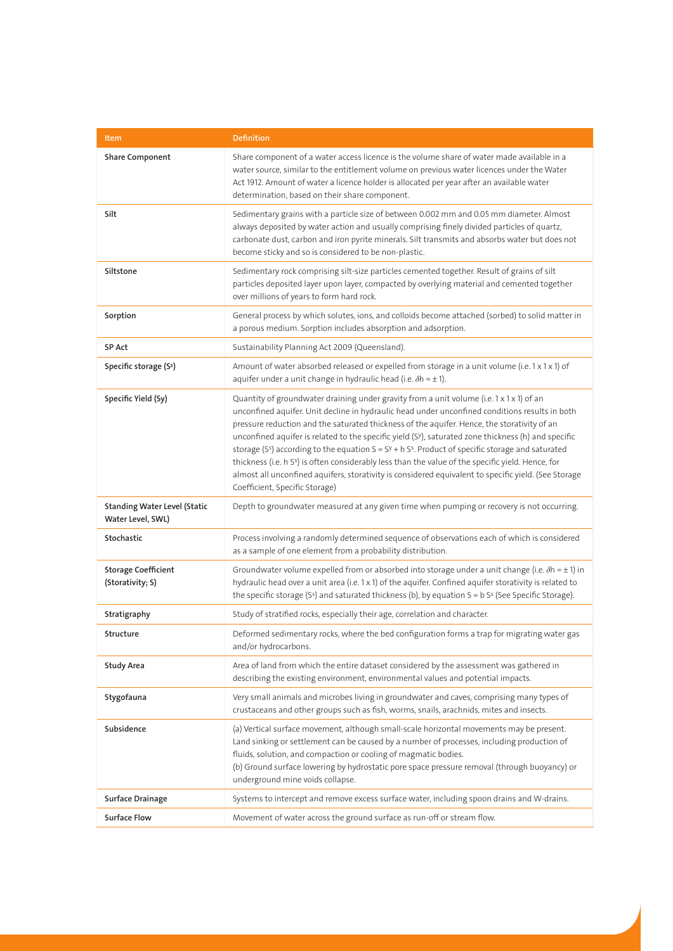| Item                                                     | <b>Definition</b>                                                                                                                                                                                                                                                                                                                                                                                                                                                                                                                                                                                                                                                                                                                                                                   |
|----------------------------------------------------------|-------------------------------------------------------------------------------------------------------------------------------------------------------------------------------------------------------------------------------------------------------------------------------------------------------------------------------------------------------------------------------------------------------------------------------------------------------------------------------------------------------------------------------------------------------------------------------------------------------------------------------------------------------------------------------------------------------------------------------------------------------------------------------------|
| <b>Share Component</b>                                   | Share component of a water access licence is the volume share of water made available in a<br>water source, similar to the entitlement volume on previous water licences under the Water<br>Act 1912. Amount of water a licence holder is allocated per year after an available water<br>determination, based on their share component.                                                                                                                                                                                                                                                                                                                                                                                                                                             |
| Silt                                                     | Sedimentary grains with a particle size of between 0.002 mm and 0.05 mm diameter. Almost<br>always deposited by water action and usually comprising finely divided particles of quartz,<br>carbonate dust, carbon and iron pyrite minerals. Silt transmits and absorbs water but does not<br>become sticky and so is considered to be non-plastic.                                                                                                                                                                                                                                                                                                                                                                                                                                  |
| Siltstone                                                | Sedimentary rock comprising silt-size particles cemented together. Result of grains of silt<br>particles deposited layer upon layer, compacted by overlying material and cemented together<br>over millions of years to form hard rock.                                                                                                                                                                                                                                                                                                                                                                                                                                                                                                                                             |
| Sorption                                                 | General process by which solutes, ions, and colloids become attached (sorbed) to solid matter in<br>a porous medium. Sorption includes absorption and adsorption.                                                                                                                                                                                                                                                                                                                                                                                                                                                                                                                                                                                                                   |
| SP Act                                                   | Sustainability Planning Act 2009 (Queensland).                                                                                                                                                                                                                                                                                                                                                                                                                                                                                                                                                                                                                                                                                                                                      |
| Specific storage (S <sup>s</sup> )                       | Amount of water absorbed released or expelled from storage in a unit volume (i.e. $1 \times 1 \times 1$ ) of<br>aquifer under a unit change in hydraulic head (i.e. $\delta h = \pm 1$ ).                                                                                                                                                                                                                                                                                                                                                                                                                                                                                                                                                                                           |
| Specific Yield (Sy)                                      | Quantity of groundwater draining under gravity from a unit volume (i.e. $1 \times 1 \times 1$ ) of an<br>unconfined aquifer. Unit decline in hydraulic head under unconfined conditions results in both<br>pressure reduction and the saturated thickness of the aquifer. Hence, the storativity of an<br>unconfined aquifer is related to the specific yield (SY), saturated zone thickness (h) and specific<br>storage ( $Ss$ ) according to the equation $S = SY + h Ss$ . Product of specific storage and saturated<br>thickness (i.e. h S <sup>s</sup> ) is often considerably less than the value of the specific yield. Hence, for<br>almost all unconfined aquifers, storativity is considered equivalent to specific yield. (See Storage<br>Coefficient, Specific Storage) |
| <b>Standing Water Level (Static</b><br>Water Level, SWL) | Depth to groundwater measured at any given time when pumping or recovery is not occurring.                                                                                                                                                                                                                                                                                                                                                                                                                                                                                                                                                                                                                                                                                          |
| Stochastic                                               | Process involving a randomly determined sequence of observations each of which is considered<br>as a sample of one element from a probability distribution.                                                                                                                                                                                                                                                                                                                                                                                                                                                                                                                                                                                                                         |
| <b>Storage Coefficient</b><br>(Storativity; S)           | Groundwater volume expelled from or absorbed into storage under a unit change (i.e. $\delta h = \pm 1$ ) in<br>hydraulic head over a unit area (i.e. 1 x 1) of the aquifer. Confined aquifer storativity is related to<br>the specific storage (S <sup>5</sup> ) and saturated thickness (b), by equation $S = b Ss$ (See Specific Storage).                                                                                                                                                                                                                                                                                                                                                                                                                                        |
| Stratigraphy                                             | Study of stratified rocks, especially their age, correlation and character.                                                                                                                                                                                                                                                                                                                                                                                                                                                                                                                                                                                                                                                                                                         |
| Structure                                                | Deformed sedimentary rocks, where the bed configuration forms a trap for migrating water gas<br>and/or hydrocarbons.                                                                                                                                                                                                                                                                                                                                                                                                                                                                                                                                                                                                                                                                |
| <b>Study Area</b>                                        | Area of land from which the entire dataset considered by the assessment was gathered in<br>describing the existing environment, environmental values and potential impacts.                                                                                                                                                                                                                                                                                                                                                                                                                                                                                                                                                                                                         |
| Stygofauna                                               | Very small animals and microbes living in groundwater and caves, comprising many types of<br>crustaceans and other groups such as fish, worms, snails, arachnids, mites and insects.                                                                                                                                                                                                                                                                                                                                                                                                                                                                                                                                                                                                |
| Subsidence                                               | (a) Vertical surface movement, although small-scale horizontal movements may be present.<br>Land sinking or settlement can be caused by a number of processes, including production of<br>fluids, solution, and compaction or cooling of magmatic bodies.<br>(b) Ground surface lowering by hydrostatic pore space pressure removal (through buoyancy) or<br>underground mine voids collapse.                                                                                                                                                                                                                                                                                                                                                                                       |
| <b>Surface Drainage</b>                                  | Systems to intercept and remove excess surface water, including spoon drains and W-drains.                                                                                                                                                                                                                                                                                                                                                                                                                                                                                                                                                                                                                                                                                          |
| <b>Surface Flow</b>                                      | Movement of water across the ground surface as run-off or stream flow.                                                                                                                                                                                                                                                                                                                                                                                                                                                                                                                                                                                                                                                                                                              |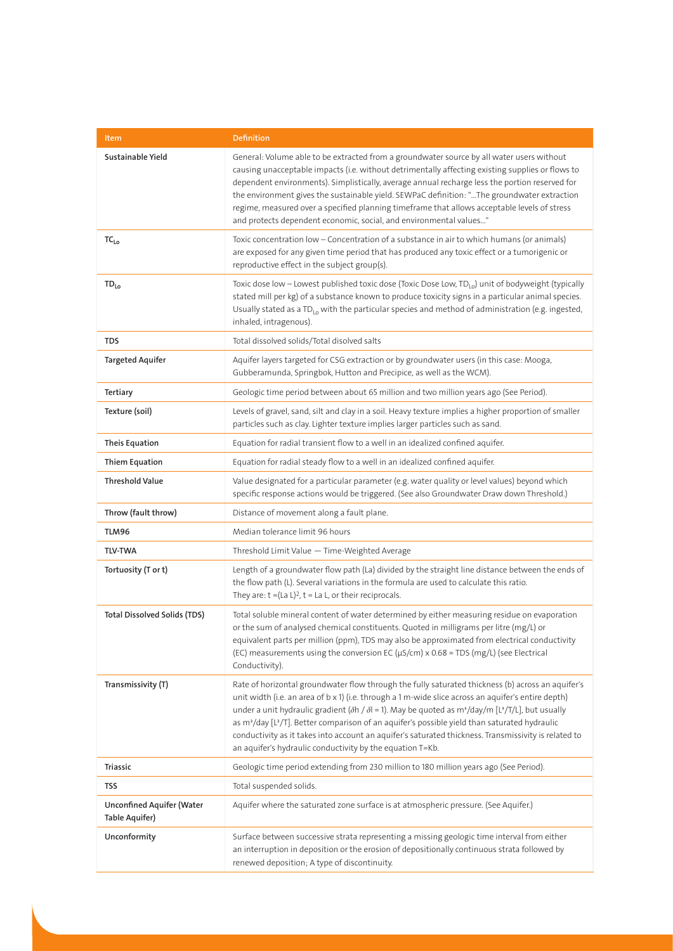| Item                                        | <b>Definition</b>                                                                                                                                                                                                                                                                                                                                                                                                                                                                                                                                                                                                                                 |
|---------------------------------------------|---------------------------------------------------------------------------------------------------------------------------------------------------------------------------------------------------------------------------------------------------------------------------------------------------------------------------------------------------------------------------------------------------------------------------------------------------------------------------------------------------------------------------------------------------------------------------------------------------------------------------------------------------|
| Sustainable Yield                           | General: Volume able to be extracted from a groundwater source by all water users without<br>causing unacceptable impacts (i.e. without detrimentally affecting existing supplies or flows to<br>dependent environments). Simplistically, average annual recharge less the portion reserved for<br>the environment gives the sustainable yield. SEWPaC definition: "The groundwater extraction<br>regime, measured over a specified planning timeframe that allows acceptable levels of stress<br>and protects dependent economic, social, and environmental values"                                                                              |
| $TC_{Lo}$                                   | Toxic concentration low - Concentration of a substance in air to which humans (or animals)<br>are exposed for any given time period that has produced any toxic effect or a tumorigenic or<br>reproductive effect in the subject group(s).                                                                                                                                                                                                                                                                                                                                                                                                        |
| $TD_{Lo}$                                   | Toxic dose low - Lowest published toxic dose (Toxic Dose Low, TD <sub>Lo</sub> ) unit of bodyweight (typically<br>stated mill per kg) of a substance known to produce toxicity signs in a particular animal species.<br>Usually stated as a TD <sub>Lo</sub> with the particular species and method of administration (e.g. ingested,<br>inhaled, intragenous).                                                                                                                                                                                                                                                                                   |
| <b>TDS</b>                                  | Total dissolved solids/Total disolved salts                                                                                                                                                                                                                                                                                                                                                                                                                                                                                                                                                                                                       |
| <b>Targeted Aquifer</b>                     | Aquifer layers targeted for CSG extraction or by groundwater users (in this case: Mooga,<br>Gubberamunda, Springbok, Hutton and Precipice, as well as the WCM).                                                                                                                                                                                                                                                                                                                                                                                                                                                                                   |
| Tertiary                                    | Geologic time period between about 65 million and two million years ago (See Period).                                                                                                                                                                                                                                                                                                                                                                                                                                                                                                                                                             |
| Texture (soil)                              | Levels of gravel, sand, silt and clay in a soil. Heavy texture implies a higher proportion of smaller<br>particles such as clay. Lighter texture implies larger particles such as sand.                                                                                                                                                                                                                                                                                                                                                                                                                                                           |
| <b>Theis Equation</b>                       | Equation for radial transient flow to a well in an idealized confined aquifer.                                                                                                                                                                                                                                                                                                                                                                                                                                                                                                                                                                    |
| <b>Thiem Equation</b>                       | Equation for radial steady flow to a well in an idealized confined aquifer.                                                                                                                                                                                                                                                                                                                                                                                                                                                                                                                                                                       |
| <b>Threshold Value</b>                      | Value designated for a particular parameter (e.g. water quality or level values) beyond which<br>specific response actions would be triggered. (See also Groundwater Draw down Threshold.)                                                                                                                                                                                                                                                                                                                                                                                                                                                        |
| Throw (fault throw)                         | Distance of movement along a fault plane.                                                                                                                                                                                                                                                                                                                                                                                                                                                                                                                                                                                                         |
| TLM96                                       | Median tolerance limit 96 hours                                                                                                                                                                                                                                                                                                                                                                                                                                                                                                                                                                                                                   |
| <b>TLV-TWA</b>                              | Threshold Limit Value - Time-Weighted Average                                                                                                                                                                                                                                                                                                                                                                                                                                                                                                                                                                                                     |
| Tortuosity (T or t)                         | Length of a groundwater flow path (La) divided by the straight line distance between the ends of<br>the flow path (L). Several variations in the formula are used to calculate this ratio.<br>They are: $t = (La L)^2$ , $t = La L$ , or their reciprocals.                                                                                                                                                                                                                                                                                                                                                                                       |
| <b>Total Dissolved Solids (TDS)</b>         | Total soluble mineral content of water determined by either measuring residue on evaporation<br>or the sum of analysed chemical constituents. Quoted in milligrams per litre (mg/L) or<br>equivalent parts per million (ppm), TDS may also be approximated from electrical conductivity<br>(EC) measurements using the conversion EC (µS/cm) x 0.68 = TDS (mg/L) (see Electrical<br>Conductivity).                                                                                                                                                                                                                                                |
| Transmissivity (T)                          | Rate of horizontal groundwater flow through the fully saturated thickness (b) across an aquifer's<br>unit width (i.e. an area of b x 1) (i.e. through a 1 m-wide slice across an aquifer's entire depth)<br>under a unit hydraulic gradient ( $\delta h / \delta l$ = 1). May be quoted as m <sup>3</sup> /day/m [L <sup>3</sup> /T/L], but usually<br>as m <sup>2</sup> /day [L <sup>2</sup> /T]. Better comparison of an aquifer's possible yield than saturated hydraulic<br>conductivity as it takes into account an aquifer's saturated thickness. Transmissivity is related to<br>an aquifer's hydraulic conductivity by the equation T=Kb. |
| <b>Triassic</b>                             | Geologic time period extending from 230 million to 180 million years ago (See Period).                                                                                                                                                                                                                                                                                                                                                                                                                                                                                                                                                            |
| TSS                                         | Total suspended solids.                                                                                                                                                                                                                                                                                                                                                                                                                                                                                                                                                                                                                           |
| Unconfined Aquifer (Water<br>Table Aquifer) | Aquifer where the saturated zone surface is at atmospheric pressure. (See Aquifer.)                                                                                                                                                                                                                                                                                                                                                                                                                                                                                                                                                               |
| Unconformity                                | Surface between successive strata representing a missing geologic time interval from either<br>an interruption in deposition or the erosion of depositionally continuous strata followed by<br>renewed deposition; A type of discontinuity.                                                                                                                                                                                                                                                                                                                                                                                                       |